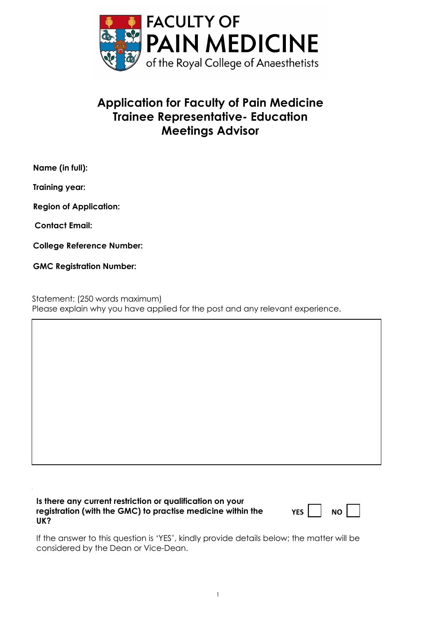

## **Application for Faculty of Pain Medicine Trainee Representative- Education Meetings Advisor**

**Name (in full):** 

**Training year:** 

**Region of Application:** 

**Contact Email:**

**College Reference Number:**

**GMC Registration Number:**

Statement: (250 words maximum) Please explain why you have applied for the post and any relevant experience.

**Is there any current restriction or qualification on your registration (with the GMC) to practise medicine within the UK?**

| v<br>- - |  | חח |  |
|----------|--|----|--|
|----------|--|----|--|

If the answer to this question is 'YES', kindly provide details below; the matter will be considered by the Dean or Vice-Dean.